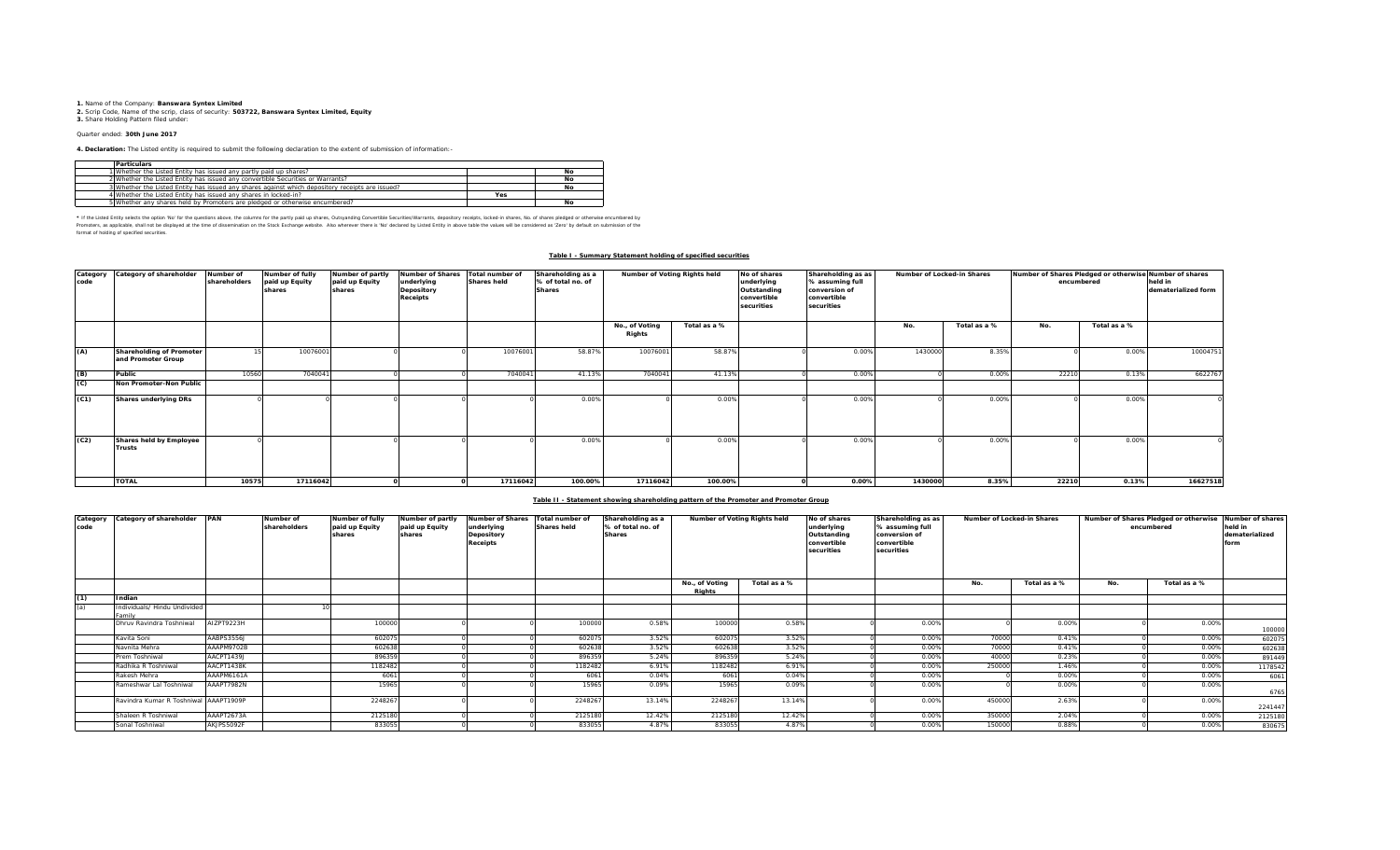**1.** Name of the Company: **Banswara Syntex Limited**<br>2. Scrip Code, Name of the scrip, class of security: **503722, Banswara Syntex Limited, Equity**<br>**3.** Share Holding Pattern filed under:

### Quarter ended: **30th June 2017**

**4. Declaration:** The Listed entity is required to submit the following declaration to the extent of submission of information:-

| <b>Particulars</b>                                                                              |     |    |
|-------------------------------------------------------------------------------------------------|-----|----|
| 1 Whether the Listed Entity has issued any partly paid up shares?                               |     | No |
| 2 Whether the Listed Entity has issued any convertible Securities or Warrants?                  |     | No |
| 3 Whether the Listed Entity has issued any shares against which depository receipts are issued? |     | Nο |
| 4 Whether the Listed Entity has issued any shares in locked-in?                                 | Yes |    |
| 5 Whether any shares held by Promoters are pledged or otherwise encumbered?                     |     | No |

\* If ne Listed Ently selects ine opton War for the equasitons above, the outwars for the partly share, Quityandng Convertible Securities/Warrants, depository receipts, boked-in shares, No. of shares predget or otherwise in format of holding of specified securities.

# **Table I - Summary Statement holding of specified securities**

| Category<br>code | Category of shareholder                        | Number of<br>shareholders | Number of fully<br>paid up Equity<br>shares | Number of partly<br>paid up Equity<br>shares | <b>Number of Shares</b><br>underlying<br>Depository<br><b>Receipts</b> | Total number of<br><b>Shares held</b> | Shareholding as a<br>% of total no. of<br><b>Shares</b> | Number of Voting Rights held |              | No of shares<br>underlying<br>Outstanding<br>convertible<br>securities | Shareholding as as<br>% assuming full<br>conversion of<br>convertible<br>securities | Number of Locked-in Shares |              | Number of Shares Pledged or otherwise Number of shares<br>encumbered | held in<br>dematerialized form |          |
|------------------|------------------------------------------------|---------------------------|---------------------------------------------|----------------------------------------------|------------------------------------------------------------------------|---------------------------------------|---------------------------------------------------------|------------------------------|--------------|------------------------------------------------------------------------|-------------------------------------------------------------------------------------|----------------------------|--------------|----------------------------------------------------------------------|--------------------------------|----------|
|                  |                                                |                           |                                             |                                              |                                                                        |                                       |                                                         | No., of Voting<br>Rights     | Total as a % |                                                                        |                                                                                     | No.                        | Total as a % | No.                                                                  | Total as a %                   |          |
| (A)              | Shareholding of Promoter<br>and Promoter Group |                           | 10076001                                    |                                              |                                                                        | 10076001                              | 58.87%                                                  | 10076001                     | 58.87%       |                                                                        | 0.00%                                                                               | 1430000                    | 8.35%        |                                                                      | 0.00%                          | 10004751 |
| (B)              | Public                                         | 10560                     | 704004                                      |                                              |                                                                        | 7040041                               | 41.13%                                                  | 704004                       | 41.13%       |                                                                        | 0.00%                                                                               |                            | 0.00%        | 22210                                                                | 0.13%                          | 6622767  |
| (C)              | Non Promoter-Non Public                        |                           |                                             |                                              |                                                                        |                                       |                                                         |                              |              |                                                                        |                                                                                     |                            |              |                                                                      |                                |          |
| (C1)             | <b>Shares underlying DRs</b>                   |                           |                                             |                                              |                                                                        |                                       | 0.009                                                   |                              | 0.00%        |                                                                        | 0.00%                                                                               |                            | 0.00%        |                                                                      | 0.00%                          |          |
| (C2)             | Shares held by Employee<br><b>Trusts</b>       |                           |                                             |                                              |                                                                        |                                       | 0.009                                                   |                              | 0.00%        |                                                                        | 0.00%                                                                               |                            | 0.00%        |                                                                      | 0.00%                          |          |
|                  | <b>TOTAL</b>                                   | 10575                     | 17116042                                    |                                              |                                                                        | 17116042                              | 100.00%                                                 | 17116042                     | 100.00%      |                                                                        | $0.00\%$                                                                            | 1430000                    | 8.35%        | 22210                                                                | 0.13%                          | 16627518 |

## **Table II - Statement showing shareholding pattern of the Promoter and Promoter Group**

| code | Category Category of shareholder       | <b>PAN</b> | Number of<br>shareholders | <b>Number of fully</b><br>paid up Equity<br>shares | Number of partly<br>paid up Equity<br>shares | Number of Shares Total number of<br>underlying<br>Depository<br>Receipts | <b>Shares held</b> | Shareholding as a<br>% of total no. of<br><b>Shares</b> | Number of Voting Rights held |              | No of shares<br>underlying<br>Outstanding<br>convertible<br>securities | Shareholding as as<br>% assuming full<br>conversion of<br>convertible<br>securities | Number of Locked-in Shares |              |     | Number of Shares Pledged or otherwise Number of shares<br>encumbered | held in<br>dematerialized<br>form |
|------|----------------------------------------|------------|---------------------------|----------------------------------------------------|----------------------------------------------|--------------------------------------------------------------------------|--------------------|---------------------------------------------------------|------------------------------|--------------|------------------------------------------------------------------------|-------------------------------------------------------------------------------------|----------------------------|--------------|-----|----------------------------------------------------------------------|-----------------------------------|
|      |                                        |            |                           |                                                    |                                              |                                                                          |                    |                                                         | No., of Voting<br>Rights     | Total as a % |                                                                        |                                                                                     | No.                        | Total as a % | No. | Total as a %                                                         |                                   |
| (1)  | Indian                                 |            |                           |                                                    |                                              |                                                                          |                    |                                                         |                              |              |                                                                        |                                                                                     |                            |              |     |                                                                      |                                   |
| (a)  | Individuals/ Hindu Undivided<br>Family |            |                           |                                                    |                                              |                                                                          |                    |                                                         |                              |              |                                                                        |                                                                                     |                            |              |     |                                                                      |                                   |
|      | Dhruv Ravindra Toshniwal               | AIZPT9223H |                           | 100000                                             |                                              |                                                                          | 100000             | 0.58%                                                   | 100000                       | 0.58%        |                                                                        | 0.00%                                                                               |                            | 0.00%        |     | 0.00%                                                                | 100000                            |
|      | Kavita Soni                            | AABPS3556J |                           | 602075                                             |                                              |                                                                          | 602075             | 3.52%                                                   | 602075                       | 3.52%        |                                                                        | 0.00%                                                                               | 70000                      | 0.41%        |     | 0.00%                                                                | 602075                            |
|      | Navnita Mehra                          | AAAPM9702B |                           | 602638                                             |                                              |                                                                          | 60263              | 3.52%                                                   | 602638                       | 3.52%        |                                                                        | 0.00%                                                                               | 70000                      | 0.41%        |     | 0.00%                                                                | 602638                            |
|      | Prem Toshniwal                         | AACPT1439J |                           | 896359                                             |                                              |                                                                          | 896359             | 5.24%                                                   | 896359                       | 5.24%        |                                                                        | 0.00%                                                                               | 40000                      | 0.23%        |     | 0.00%                                                                | 891449                            |
|      | Radhika R Toshniwal                    | AACPT1438K |                           | 1182482                                            |                                              |                                                                          | 1182482            | 6.91%                                                   | 1182482                      | 6.91%        |                                                                        | 0.00%                                                                               | 250000                     | 1.46%        |     | 0.00%                                                                | 1178542                           |
|      | Rakesh Mehra                           | AAAPM6161A |                           | 6061                                               |                                              |                                                                          | 6061               | 0.04%                                                   | 6061                         | 0.04%        |                                                                        | 0.00%                                                                               |                            | 0.00%        |     | 0.00%                                                                | 6061                              |
|      | Rameshwar Lal Toshniwal                | AAAPT7982N |                           | 15965                                              |                                              |                                                                          | 15965              | 0.09%                                                   | 15965                        | 0.09%        |                                                                        | 0.00%                                                                               |                            | 0.00%        |     | 0.00%                                                                | 6765                              |
|      | Ravindra Kumar R Toshniwal AAAPT1909P  |            |                           | 2248267                                            |                                              |                                                                          | 2248267            | 13.14%                                                  | 2248267                      | 13.14%       |                                                                        | 0.00%                                                                               | 450000                     | 2.63%        |     | 0.00%                                                                | 2241447                           |
|      | Shaleen R Toshniwal                    | AAAPT2673A |                           | 2125180                                            |                                              |                                                                          | 2125180            | 12.42%                                                  | 2125180                      | 12.42%       |                                                                        | 0.00%                                                                               | 350000                     | 2.04%        |     | 0.00%                                                                | 2125180                           |
|      | Sonal Toshniwal                        | AKJPS5092F |                           | 833055                                             |                                              |                                                                          | 833055             | 4.87%                                                   | 833055                       | 4.87%        |                                                                        | 0.00%                                                                               | 150000                     | 0.88%        |     | 0.00%                                                                | 830675                            |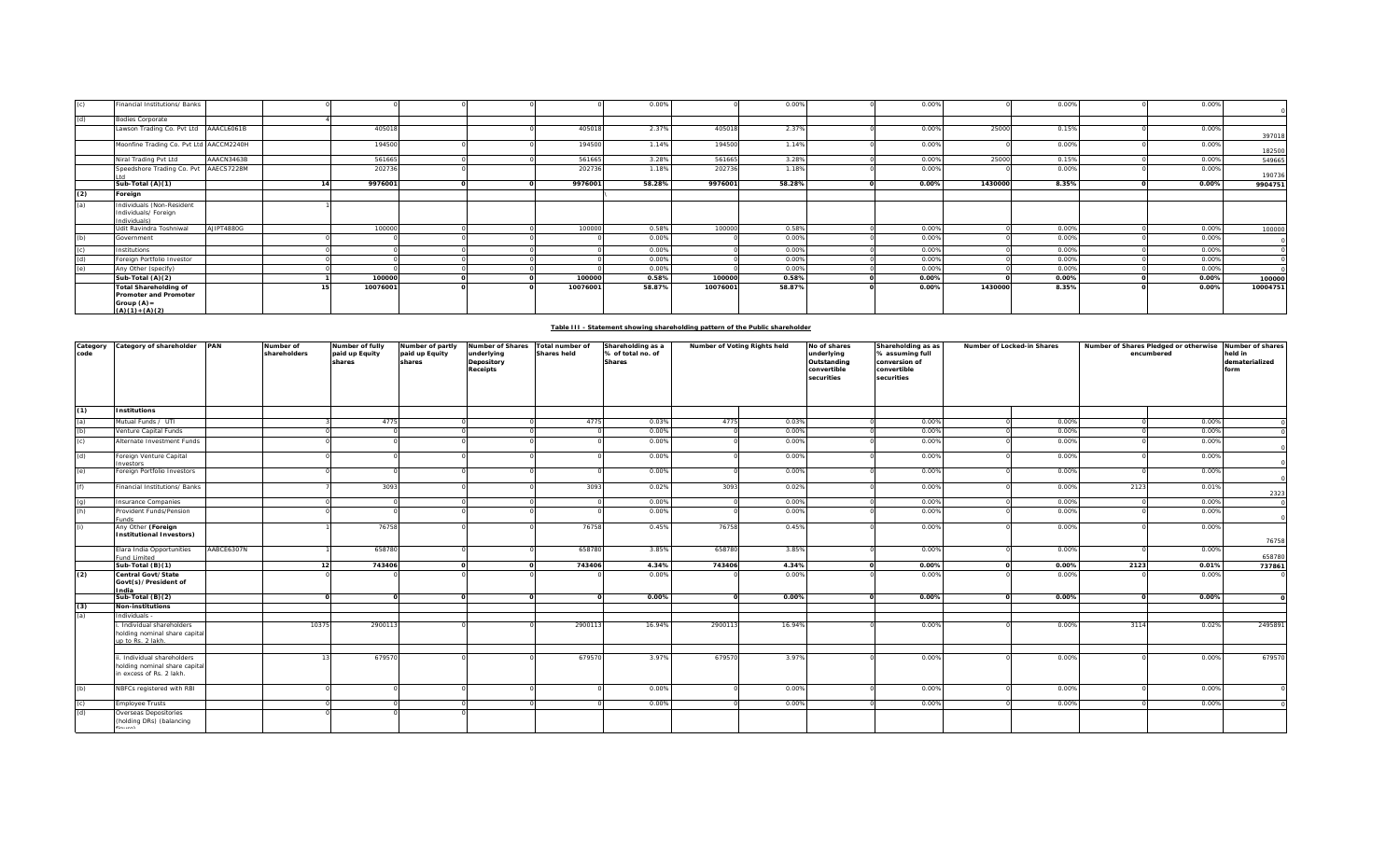|     | Financial Institutions/ Banks                                                                      |            |          |  |          | 0.00%  |          | 0.00%  | 0.00% |         | 0.00% | 0.00% |          |
|-----|----------------------------------------------------------------------------------------------------|------------|----------|--|----------|--------|----------|--------|-------|---------|-------|-------|----------|
| (d) | <b>Bodies Corporate</b>                                                                            |            |          |  |          |        |          |        |       |         |       |       |          |
|     | Lawson Trading Co. Pvt Ltd AAACL6061B                                                              |            | 405018   |  | 405018   | 2.37%  | 405018   | 2.37%  | 0.00% | 25000   | 0.15% | 0.00% | 397018   |
|     | Moonfine Trading Co. Pvt Ltd AACCM2240H                                                            |            | 194500   |  | 194500   | 1.14%  | 194500   | 1.14%  | 0.00% |         | 0.00% | 0.00% | 182500   |
|     | Niral Trading Pvt Ltd                                                                              | AAACN3463B | 561665   |  | 561665   | 3.28%  | 561665   | 3.28%  | 0.00% | 25000   | 0.15% | 0.00% | 549665   |
|     | Speedshore Trading Co. Pvt AAECS7228M                                                              |            | 202736   |  | 202736   | 1.18%  | 202736   | 1.18%  | 0.00% |         | 0.00% | 0.00% | 190736   |
|     | Sub-Total (A)(1)                                                                                   |            | 9976001  |  | 9976001  | 58.28% | 9976001  | 58.28% | 0.00% | 1430000 | 8.35% | 0.00% | 9904751  |
| (2) | Foreign                                                                                            |            |          |  |          |        |          |        |       |         |       |       |          |
| (a) | Individuals (Non-Resident<br>Individuals/ Foreign<br>Individuals)                                  |            |          |  |          |        |          |        |       |         |       |       |          |
|     | Udit Ravindra Toshniwal                                                                            | AJIPT4880G | 100000   |  | 100000   | 0.58%  | 100000   | 0.58%  | 0.00% |         | 0.00% | 0.00% | 100000   |
| (b) | Government                                                                                         |            |          |  |          | 0.00%  |          | 0.00%  | 0.00% |         | 0.00% | 0.00% |          |
|     | Institutions                                                                                       |            |          |  |          | 0.00%  |          | 0.00%  | 0.00% |         | 0.00% | 0.00% |          |
| (d) | Foreign Portfolio Investor                                                                         |            |          |  |          | 0.00%  |          | 0.00%  | 0.00% |         | 0.00% | 0.00% |          |
| (e) | Any Other (specify)                                                                                |            |          |  |          | 0.00%  |          | 0.00%  | 0.00% |         | 0.00% | 0.00% |          |
|     | Sub-Total (A)(2)                                                                                   |            | 100000   |  | 100000   | 0.58%  | 100000   | 0.58%  | 0.00% |         | 0.00% | 0.00% | 100000   |
|     | <b>Total Shareholding of</b><br><b>Promoter and Promoter</b><br>Group $(A)$ =<br>$(A)(1) + (A)(2)$ |            | 10076001 |  | 10076001 | 58.87% | 10076001 | 58.87% | 0.00% | 1430000 | 8.35% | 0.00% | 10004751 |

| Table III - Statement showing shareholding pattern of the Public shareholder |
|------------------------------------------------------------------------------|
|                                                                              |
|                                                                              |

| Category<br>code  | Category of shareholder PAN                                                             |            | Number of<br>shareholders | Number of fully<br>paid up Equity<br>shares | Number of partly<br>paid up Equity<br>shares | <b>Number of Shares</b><br>underlying<br>Depository<br><b>Receipts</b> | Total number of<br><b>Shares held</b> | Shareholding as a<br>% of total no. of<br><b>Shares</b> | Number of Voting Rights held |        | No of shares<br>Shareholding as as<br>underlying<br>% assuming full<br>Outstanding<br>conversion of<br>convertible<br>convertible<br>securities<br>securities |       | Number of Locked-in Shares |       | Number of Shares Pledged or otherwise<br>encumbered |       | Number of shares<br>held in<br>dematerialized<br>form |
|-------------------|-----------------------------------------------------------------------------------------|------------|---------------------------|---------------------------------------------|----------------------------------------------|------------------------------------------------------------------------|---------------------------------------|---------------------------------------------------------|------------------------------|--------|---------------------------------------------------------------------------------------------------------------------------------------------------------------|-------|----------------------------|-------|-----------------------------------------------------|-------|-------------------------------------------------------|
| (1)               | <b>Institutions</b>                                                                     |            |                           |                                             |                                              |                                                                        |                                       |                                                         |                              |        |                                                                                                                                                               |       |                            |       |                                                     |       |                                                       |
| (a)               | Mutual Funds / UTI                                                                      |            |                           | 4775                                        |                                              |                                                                        | 4775                                  | 0.03%                                                   | 4775                         | 0.03%  |                                                                                                                                                               | 0.00% |                            | 0.00% |                                                     | 0.00% |                                                       |
| (b)               | Venture Capital Funds                                                                   |            |                           |                                             |                                              |                                                                        |                                       | 0.00%                                                   |                              | 0.00%  |                                                                                                                                                               | 0.00% |                            | 0.00% |                                                     | 0.00% |                                                       |
| (c)               | Alternate Investment Funds                                                              |            |                           |                                             |                                              |                                                                        |                                       | 0.00%                                                   |                              | 0.00%  |                                                                                                                                                               | 0.00% |                            | 0.00% |                                                     | 0.00% |                                                       |
| (d)               | Foreign Venture Capital<br>avestors                                                     |            |                           |                                             |                                              |                                                                        |                                       | 0.00%                                                   |                              | 0.00%  |                                                                                                                                                               | 0.00% |                            | 0.00% |                                                     | 0.00% |                                                       |
| (e)               | Foreign Portfolio Investors                                                             |            |                           |                                             |                                              |                                                                        |                                       | 0.00%                                                   |                              | 0.00%  |                                                                                                                                                               | 0.00% |                            | 0.00% |                                                     | 0.00% |                                                       |
| (f)               | Financial Institutions/ Banks                                                           |            |                           | 3093                                        |                                              |                                                                        | 3093                                  | 0.02%                                                   | 3093                         | 0.02%  |                                                                                                                                                               | 0.00% |                            | 0.00% | 2123                                                | 0.01% | 2323                                                  |
|                   | Insurance Companies                                                                     |            |                           |                                             |                                              |                                                                        |                                       | 0.00%                                                   |                              | 0.00%  |                                                                                                                                                               | 0.00% |                            | 0.00% |                                                     | 0.00% |                                                       |
| $\frac{g}{h}$     | Provident Funds/Pension<br>Funds                                                        |            |                           |                                             |                                              |                                                                        |                                       | 0.00%                                                   |                              | 0.00%  |                                                                                                                                                               | 0.00% |                            | 0.00% |                                                     | 0.00% |                                                       |
| (i)               | Any Other (Foreign<br><b>Institutional Investors)</b>                                   |            |                           | 76758                                       |                                              |                                                                        | 76758                                 | 0.45%                                                   | 76758                        | 0.45%  |                                                                                                                                                               | 0.00% |                            | 0.00% |                                                     | 0.00% | 76758                                                 |
|                   | Elara India Opportunities<br>und Limited                                                | AABCE6307N |                           | 658780                                      |                                              |                                                                        | 658780                                | 3.85%                                                   | 658780                       | 3.85%  |                                                                                                                                                               | 0.00% |                            | 0.00% |                                                     | 0.00% | 658780                                                |
|                   | Sub-Total (B)(1)                                                                        |            |                           | 743406                                      |                                              |                                                                        | 743406                                | 4.34%                                                   | 743406                       | 4.34%  |                                                                                                                                                               | 0.00% |                            | 0.00% | 2123                                                | 0.01% | 737861                                                |
| (2)               | Central Govt/State<br>Govt(s)/President of<br>India                                     |            |                           |                                             |                                              |                                                                        |                                       | 0.00%                                                   |                              | 0.00%  |                                                                                                                                                               | 0.00% |                            | 0.00% |                                                     | 0.00% |                                                       |
|                   | Sub-Total (B)(2)                                                                        |            |                           |                                             |                                              |                                                                        |                                       | 0.00%                                                   |                              | 0.00%  |                                                                                                                                                               | 0.00% |                            | 0.00% |                                                     | 0.00% |                                                       |
| $\frac{(3)}{(a)}$ | <b>Non-institutions</b>                                                                 |            |                           |                                             |                                              |                                                                        |                                       |                                                         |                              |        |                                                                                                                                                               |       |                            |       |                                                     |       |                                                       |
|                   | Individuals -                                                                           |            |                           |                                             |                                              |                                                                        |                                       |                                                         |                              |        |                                                                                                                                                               |       |                            |       |                                                     |       |                                                       |
|                   | i. Individual shareholders<br>holding nominal share capital<br>up to Rs. 2 lakh.        |            | 10375                     | 2900113                                     |                                              |                                                                        | 290011                                | 16.94%                                                  | 290011                       | 16.94% |                                                                                                                                                               | 0.00% |                            | 0.00% | 3114                                                | 0.02% | 2495891                                               |
|                   |                                                                                         |            |                           |                                             |                                              |                                                                        |                                       |                                                         |                              |        |                                                                                                                                                               |       |                            |       |                                                     |       |                                                       |
|                   | i. Individual shareholders<br>holding nominal share capital<br>in excess of Rs. 2 lakh. |            |                           | 679570                                      |                                              |                                                                        | 679570                                | 3.97%                                                   | 679570                       | 3.97%  |                                                                                                                                                               | 0.00% |                            | 0.00% |                                                     | 0.00% | 679570                                                |
| (b)               | NBFCs registered with RBI                                                               |            |                           |                                             |                                              |                                                                        |                                       | 0.00%                                                   |                              | 0.00%  |                                                                                                                                                               | 0.00% |                            | 0.00% |                                                     | 0.00% |                                                       |
| (c)               | <b>Employee Trusts</b>                                                                  |            |                           |                                             |                                              |                                                                        |                                       | 0.00%                                                   |                              | 0.00%  |                                                                                                                                                               | 0.00% |                            | 0.00% |                                                     | 0.00% |                                                       |
| (d)               | Overseas Depositories<br>(holding DRs) (balancing                                       |            |                           |                                             |                                              |                                                                        |                                       |                                                         |                              |        |                                                                                                                                                               |       |                            |       |                                                     |       |                                                       |